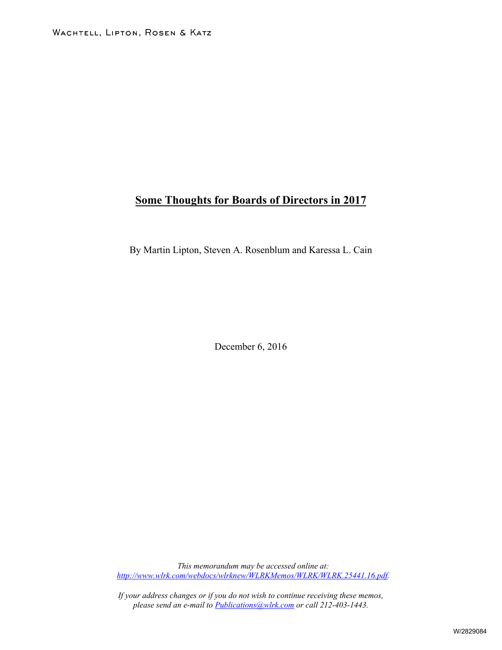# **Some Thoughts for Boards of Directors in 2017**

By Martin Lipton, Steven A. Rosenblum and Karessa L. Cain

December 6, 2016

*This memorandum may be accessed online at: [http://www.wlrk.com/webdocs/wlrknew/WLRKMemos/WLRK/WLRK.25441.16.pdf.](http://www.wlrk.com/webdocs/wlrknew/WLRKMemos/WLRK/WLRK.25441.16.pdf)*

*If your address changes or if you do not wish to continue receiving these memos, please send an e-mail to [Publications@wlrk.com](mailto:Publications@wlrk.com) or call 212-403-1443.*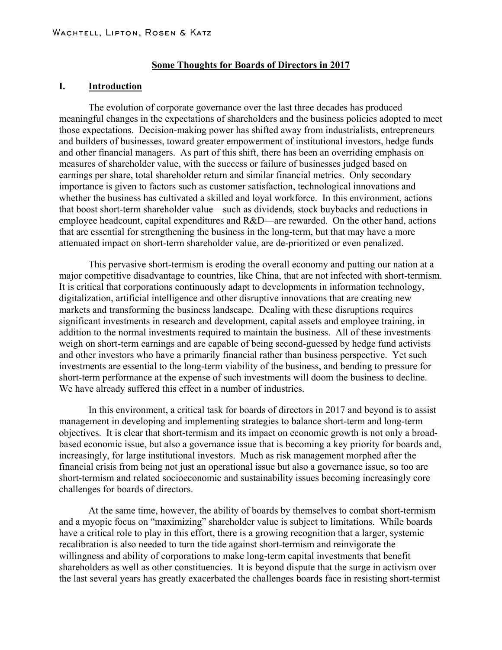#### **Some Thoughts for Boards of Directors in 2017**

## **I. Introduction**

The evolution of corporate governance over the last three decades has produced meaningful changes in the expectations of shareholders and the business policies adopted to meet those expectations. Decision-making power has shifted away from industrialists, entrepreneurs and builders of businesses, toward greater empowerment of institutional investors, hedge funds and other financial managers. As part of this shift, there has been an overriding emphasis on measures of shareholder value, with the success or failure of businesses judged based on earnings per share, total shareholder return and similar financial metrics. Only secondary importance is given to factors such as customer satisfaction, technological innovations and whether the business has cultivated a skilled and loyal workforce. In this environment, actions that boost short-term shareholder value—such as dividends, stock buybacks and reductions in employee headcount, capital expenditures and  $R&D$ —are rewarded. On the other hand, actions that are essential for strengthening the business in the long-term, but that may have a more attenuated impact on short-term shareholder value, are de-prioritized or even penalized.

This pervasive short-termism is eroding the overall economy and putting our nation at a major competitive disadvantage to countries, like China, that are not infected with short-termism. It is critical that corporations continuously adapt to developments in information technology, digitalization, artificial intelligence and other disruptive innovations that are creating new markets and transforming the business landscape. Dealing with these disruptions requires significant investments in research and development, capital assets and employee training, in addition to the normal investments required to maintain the business. All of these investments weigh on short-term earnings and are capable of being second-guessed by hedge fund activists and other investors who have a primarily financial rather than business perspective. Yet such investments are essential to the long-term viability of the business, and bending to pressure for short-term performance at the expense of such investments will doom the business to decline. We have already suffered this effect in a number of industries.

In this environment, a critical task for boards of directors in 2017 and beyond is to assist management in developing and implementing strategies to balance short-term and long-term objectives. It is clear that short-termism and its impact on economic growth is not only a broadbased economic issue, but also a governance issue that is becoming a key priority for boards and, increasingly, for large institutional investors. Much as risk management morphed after the financial crisis from being not just an operational issue but also a governance issue, so too are short-termism and related socioeconomic and sustainability issues becoming increasingly core challenges for boards of directors.

At the same time, however, the ability of boards by themselves to combat short-termism and a myopic focus on "maximizing" shareholder value is subject to limitations. While boards have a critical role to play in this effort, there is a growing recognition that a larger, systemic recalibration is also needed to turn the tide against short-termism and reinvigorate the willingness and ability of corporations to make long-term capital investments that benefit shareholders as well as other constituencies. It is beyond dispute that the surge in activism over the last several years has greatly exacerbated the challenges boards face in resisting short-termist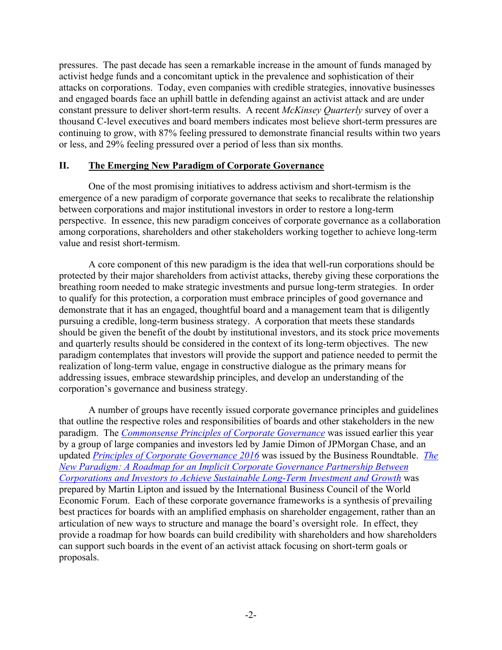pressures. The past decade has seen a remarkable increase in the amount of funds managed by activist hedge funds and a concomitant uptick in the prevalence and sophistication of their attacks on corporations. Today, even companies with credible strategies, innovative businesses and engaged boards face an uphill battle in defending against an activist attack and are under constant pressure to deliver short-term results. A recent *McKinsey Quarterly* survey of over a thousand C-level executives and board members indicates most believe short-term pressures are continuing to grow, with 87% feeling pressured to demonstrate financial results within two years or less, and 29% feeling pressured over a period of less than six months.

## **II. The Emerging New Paradigm of Corporate Governance**

One of the most promising initiatives to address activism and short-termism is the emergence of a new paradigm of corporate governance that seeks to recalibrate the relationship between corporations and major institutional investors in order to restore a long-term perspective. In essence, this new paradigm conceives of corporate governance as a collaboration among corporations, shareholders and other stakeholders working together to achieve long-term value and resist short-termism.

A core component of this new paradigm is the idea that well-run corporations should be protected by their major shareholders from activist attacks, thereby giving these corporations the breathing room needed to make strategic investments and pursue long-term strategies. In order to qualify for this protection, a corporation must embrace principles of good governance and demonstrate that it has an engaged, thoughtful board and a management team that is diligently pursuing a credible, long-term business strategy. A corporation that meets these standards should be given the benefit of the doubt by institutional investors, and its stock price movements and quarterly results should be considered in the context of its long-term objectives. The new paradigm contemplates that investors will provide the support and patience needed to permit the realization of long-term value, engage in constructive dialogue as the primary means for addressing issues, embrace stewardship principles, and develop an understanding of the corporation's governance and business strategy.

A number of groups have recently issued corporate governance principles and guidelines that outline the respective roles and responsibilities of boards and other stakeholders in the new paradigm. The *[Commonsense Principles of Corporate Governance](http://www.governanceprinciples.org/wp-content/uploads/2016/07/GovernancePrinciples_Principles.pdf)* was issued earlier this year by a group of large companies and investors led by Jamie Dimon of JPMorgan Chase, and an updated *[Principles of Corporate Governance 2016](https://businessroundtable.org/sites/default/files/Principles-of-Corporate-Governance-2016.pdf)* was issued by the Business Roundtable. *[The](http://www.amgovcollege.org/uploads/7/8/4/7/78472964/international-business-council-of-the-world-economic-forum-the-new-paradigm.pdf)  [New Paradigm: A Roadmap for an Implicit Corporate Governance Partnership Between](http://www.amgovcollege.org/uploads/7/8/4/7/78472964/international-business-council-of-the-world-economic-forum-the-new-paradigm.pdf)  [Corporations and Investors to Achieve Sustainable Long-Term Investment and Growth](http://www.amgovcollege.org/uploads/7/8/4/7/78472964/international-business-council-of-the-world-economic-forum-the-new-paradigm.pdf)* was prepared by Martin Lipton and issued by the International Business Council of the World Economic Forum. Each of these corporate governance frameworks is a synthesis of prevailing best practices for boards with an amplified emphasis on shareholder engagement, rather than an articulation of new ways to structure and manage the board's oversight role. In effect, they provide a roadmap for how boards can build credibility with shareholders and how shareholders can support such boards in the event of an activist attack focusing on short-term goals or proposals.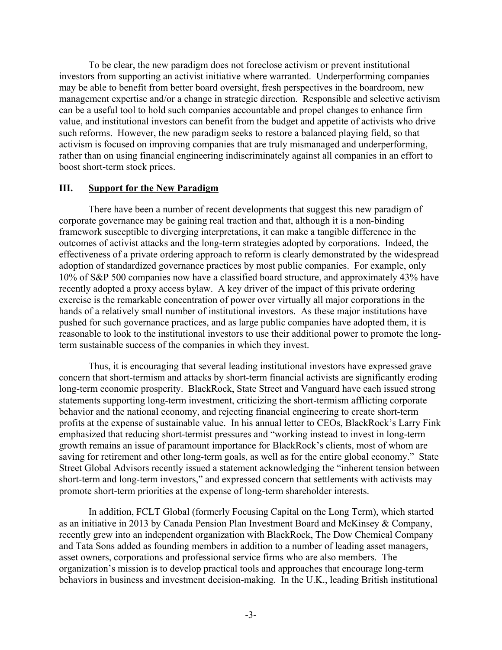To be clear, the new paradigm does not foreclose activism or prevent institutional investors from supporting an activist initiative where warranted. Underperforming companies may be able to benefit from better board oversight, fresh perspectives in the boardroom, new management expertise and/or a change in strategic direction. Responsible and selective activism can be a useful tool to hold such companies accountable and propel changes to enhance firm value, and institutional investors can benefit from the budget and appetite of activists who drive such reforms. However, the new paradigm seeks to restore a balanced playing field, so that activism is focused on improving companies that are truly mismanaged and underperforming, rather than on using financial engineering indiscriminately against all companies in an effort to boost short-term stock prices.

## **III. Support for the New Paradigm**

There have been a number of recent developments that suggest this new paradigm of corporate governance may be gaining real traction and that, although it is a non-binding framework susceptible to diverging interpretations, it can make a tangible difference in the outcomes of activist attacks and the long-term strategies adopted by corporations. Indeed, the effectiveness of a private ordering approach to reform is clearly demonstrated by the widespread adoption of standardized governance practices by most public companies. For example, only 10% of S&P 500 companies now have a classified board structure, and approximately 43% have recently adopted a proxy access bylaw. A key driver of the impact of this private ordering exercise is the remarkable concentration of power over virtually all major corporations in the hands of a relatively small number of institutional investors. As these major institutions have pushed for such governance practices, and as large public companies have adopted them, it is reasonable to look to the institutional investors to use their additional power to promote the longterm sustainable success of the companies in which they invest.

Thus, it is encouraging that several leading institutional investors have expressed grave concern that short-termism and attacks by short-term financial activists are significantly eroding long-term economic prosperity. BlackRock, State Street and Vanguard have each issued strong statements supporting long-term investment, criticizing the short-termism afflicting corporate behavior and the national economy, and rejecting financial engineering to create short-term profits at the expense of sustainable value. In his annual letter to CEOs, BlackRock's Larry Fink emphasized that reducing short-termist pressures and "working instead to invest in long-term growth remains an issue of paramount importance for BlackRock's clients, most of whom are saving for retirement and other long-term goals, as well as for the entire global economy." State Street Global Advisors recently issued a statement acknowledging the "inherent tension between short-term and long-term investors," and expressed concern that settlements with activists may promote short-term priorities at the expense of long-term shareholder interests.

In addition, FCLT Global (formerly Focusing Capital on the Long Term), which started as an initiative in 2013 by Canada Pension Plan Investment Board and McKinsey & Company, recently grew into an independent organization with BlackRock, The Dow Chemical Company and Tata Sons added as founding members in addition to a number of leading asset managers, asset owners, corporations and professional service firms who are also members. The organization's mission is to develop practical tools and approaches that encourage long-term behaviors in business and investment decision-making. In the U.K., leading British institutional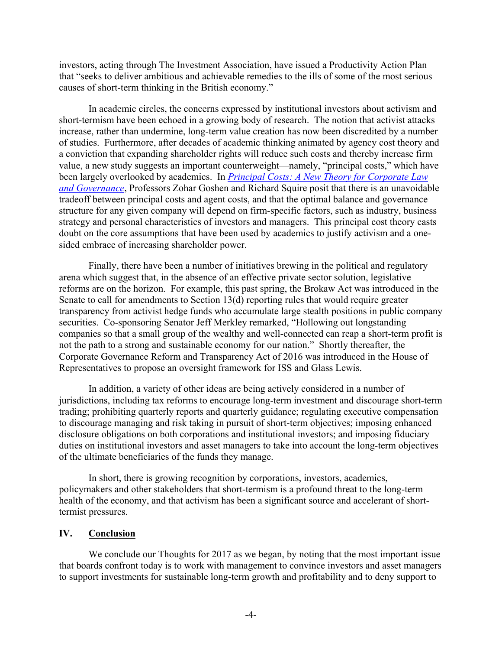investors, acting through The Investment Association, have issued a Productivity Action Plan that "seeks to deliver ambitious and achievable remedies to the ills of some of the most serious causes of short-term thinking in the British economy."

In academic circles, the concerns expressed by institutional investors about activism and short-termism have been echoed in a growing body of research. The notion that activist attacks increase, rather than undermine, long-term value creation has now been discredited by a number of studies. Furthermore, after decades of academic thinking animated by agency cost theory and a conviction that expanding shareholder rights will reduce such costs and thereby increase firm value, a new study suggests an important counterweight—namely, "principal costs," which have been largely overlooked by academics. In *[Principal Costs: A New Theory for Corporate Law](https://papers.ssrn.com/sol3/papers.cfm?abstract_id=2571739)  [and Governance](https://papers.ssrn.com/sol3/papers.cfm?abstract_id=2571739)*, Professors Zohar Goshen and Richard Squire posit that there is an unavoidable tradeoff between principal costs and agent costs, and that the optimal balance and governance structure for any given company will depend on firm-specific factors, such as industry, business strategy and personal characteristics of investors and managers. This principal cost theory casts doubt on the core assumptions that have been used by academics to justify activism and a onesided embrace of increasing shareholder power.

Finally, there have been a number of initiatives brewing in the political and regulatory arena which suggest that, in the absence of an effective private sector solution, legislative reforms are on the horizon. For example, this past spring, the Brokaw Act was introduced in the Senate to call for amendments to Section 13(d) reporting rules that would require greater transparency from activist hedge funds who accumulate large stealth positions in public company securities. Co-sponsoring Senator Jeff Merkley remarked, "Hollowing out longstanding companies so that a small group of the wealthy and well-connected can reap a short-term profit is not the path to a strong and sustainable economy for our nation." Shortly thereafter, the Corporate Governance Reform and Transparency Act of 2016 was introduced in the House of Representatives to propose an oversight framework for ISS and Glass Lewis.

In addition, a variety of other ideas are being actively considered in a number of jurisdictions, including tax reforms to encourage long-term investment and discourage short-term trading; prohibiting quarterly reports and quarterly guidance; regulating executive compensation to discourage managing and risk taking in pursuit of short-term objectives; imposing enhanced disclosure obligations on both corporations and institutional investors; and imposing fiduciary duties on institutional investors and asset managers to take into account the long-term objectives of the ultimate beneficiaries of the funds they manage.

In short, there is growing recognition by corporations, investors, academics, policymakers and other stakeholders that short-termism is a profound threat to the long-term health of the economy, and that activism has been a significant source and accelerant of shorttermist pressures.

## **IV. Conclusion**

We conclude our Thoughts for 2017 as we began, by noting that the most important issue that boards confront today is to work with management to convince investors and asset managers to support investments for sustainable long-term growth and profitability and to deny support to